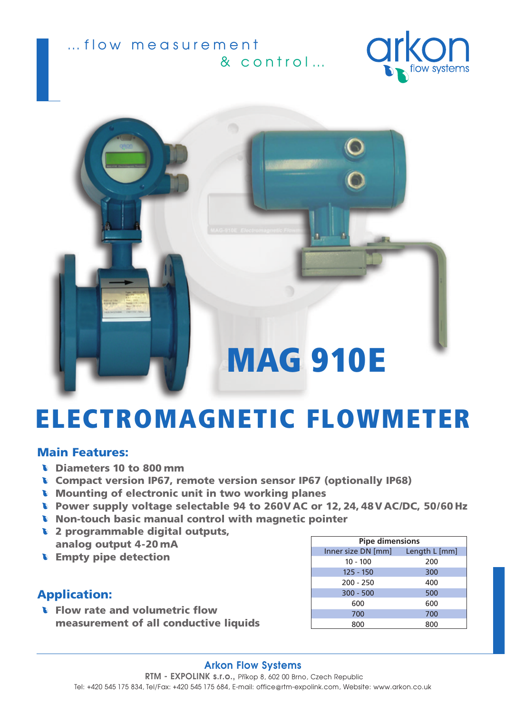





# ELECTROMAGNETIC FLOWMETER

#### Main Features:

- **b** Diameters 10 to 800 mm
- Compact version IP67, remote version sensor IP67 (optionally IP68)
- Mounting of electronic unit in two working planes
- Power supply voltage selectable 94 to 260V AC or 12, 24, 48V AC/DC, 50/60 Hz
- **Non-touch basic manual control with magnetic pointer**
- **1** 2 programmable digital outputs,
- analog output 4-20 mA **Empty pipe detection**

### Application:

**Flow rate and volumetric flow** measurement of all conductive liquids

| <b>Pipe dimensions</b>           |     |
|----------------------------------|-----|
| Inner size DN [mm] Length L [mm] |     |
| $10 - 100$                       | 200 |
| $125 - 150$                      | 300 |
| $200 - 250$                      | 400 |
| $300 - 500$                      | 500 |
| 600                              | 600 |
| 700                              | 700 |
| 800                              | 800 |

#### **Arkon Flow Systems RTM - EXPOLINK s.r.o.,** Pfiíkop 8, 602 00 Brno, Czech Republic Tel: +420 545 175 834, Tel/Fax: +420 545 175 684, E-mail: office@rtm-expolink.com, Website: www.arkon.co.uk